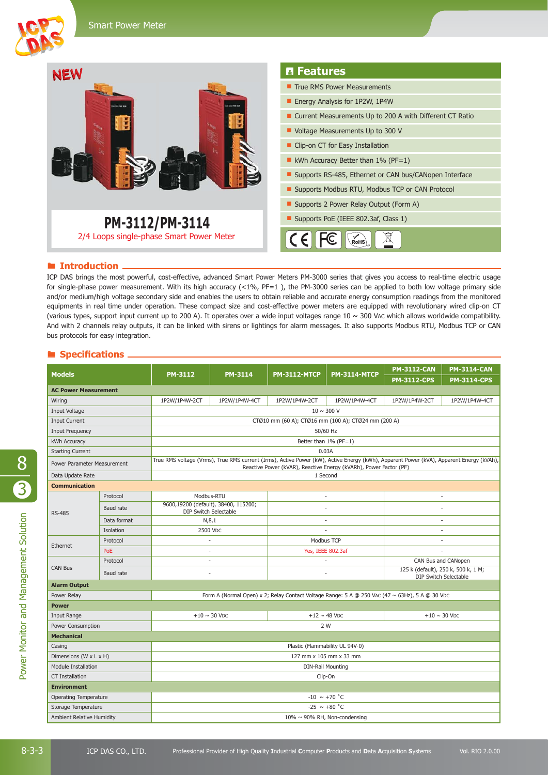

## **E** Introduction

ICP DAS brings the most powerful, cost-effective, advanced Smart Power Meters PM-3000 series that gives you access to real-time electric usage for single-phase power measurement. With its high accuracy (<1%, PF=1), the PM-3000 series can be applied to both low voltage primary side and/or medium/high voltage secondary side and enables the users to obtain reliable and accurate energy consumption readings from the monitored equipments in real time under operation. These compact size and cost-effective power meters are equipped with revolutionary wired clip-on CT (various types, support input current up to 200 A). It operates over a wide input voltages range 10 ~ 300 VAC which allows worldwide compatibility. And with 2 channels relay outputs, it can be linked with sirens or lightings for alarm messages. It also supports Modbus RTU, Modbus TCP or CAN bus protocols for easy integration.

## Specifications .

| <b>Models</b>                |             | <b>PM-3112</b>                                                                                                                                                                                               | <b>PM-3114</b> | <b>PM-3112-MTCP</b>           | <b>PM-3114-MTCP</b> | <b>PM-3112-CAN</b>                                                  | <b>PM-3114-CAN</b> |
|------------------------------|-------------|--------------------------------------------------------------------------------------------------------------------------------------------------------------------------------------------------------------|----------------|-------------------------------|---------------------|---------------------------------------------------------------------|--------------------|
|                              |             |                                                                                                                                                                                                              |                |                               |                     | <b>PM-3112-CPS</b>                                                  | <b>PM-3114-CPS</b> |
| <b>AC Power Measurement</b>  |             |                                                                                                                                                                                                              |                |                               |                     |                                                                     |                    |
| Wiring                       |             | 1P2W/1P4W-2CT                                                                                                                                                                                                | 1P2W/1P4W-4CT  | 1P2W/1P4W-2CT                 | 1P2W/1P4W-4CT       | 1P2W/1P4W-2CT                                                       | 1P2W/1P4W-4CT      |
| Input Voltage                |             | $10 \sim 300$ V                                                                                                                                                                                              |                |                               |                     |                                                                     |                    |
| <b>Input Current</b>         |             | CTØ10 mm (60 A); CTØ16 mm (100 A); CTØ24 mm (200 A)                                                                                                                                                          |                |                               |                     |                                                                     |                    |
| <b>Input Frequency</b>       |             | 50/60 Hz                                                                                                                                                                                                     |                |                               |                     |                                                                     |                    |
| kWh Accuracy                 |             | Better than 1% (PF=1)                                                                                                                                                                                        |                |                               |                     |                                                                     |                    |
| <b>Starting Current</b>      |             | 0.03A                                                                                                                                                                                                        |                |                               |                     |                                                                     |                    |
| Power Parameter Measurement  |             | True RMS voltage (Vrms), True RMS current (Irms), Active Power (kW), Active Energy (kWh), Apparent Power (kVA), Apparent Energy (kVAh),<br>Reactive Power (kVAR), Reactive Energy (kVARh), Power Factor (PF) |                |                               |                     |                                                                     |                    |
| Data Update Rate             |             | 1 Second                                                                                                                                                                                                     |                |                               |                     |                                                                     |                    |
| <b>Communication</b>         |             |                                                                                                                                                                                                              |                |                               |                     |                                                                     |                    |
| <b>RS-485</b>                | Protocol    | Modbus-RTU                                                                                                                                                                                                   |                | ÷.                            |                     | ×.                                                                  |                    |
|                              | Baud rate   | 9600,19200 (default), 38400, 115200;<br>DIP Switch Selectable                                                                                                                                                |                | $\sim$                        |                     | ä,                                                                  |                    |
|                              | Data format | N, 8, 1                                                                                                                                                                                                      |                |                               |                     |                                                                     |                    |
|                              | Isolation   | 2500 VDC                                                                                                                                                                                                     |                |                               |                     |                                                                     |                    |
| Ethernet                     | Protocol    |                                                                                                                                                                                                              |                | Modbus TCP                    |                     |                                                                     |                    |
|                              | PoE         | ä,                                                                                                                                                                                                           |                | Yes, IEEE 802.3af             |                     |                                                                     |                    |
| <b>CAN Bus</b>               | Protocol    | $\overline{\phantom{a}}$                                                                                                                                                                                     |                | ÷,                            |                     | CAN Bus and CANopen                                                 |                    |
|                              | Baud rate   | ÷,                                                                                                                                                                                                           |                | ÷,                            |                     | 125 k (default), 250 k, 500 k, 1 M;<br><b>DIP Switch Selectable</b> |                    |
| <b>Alarm Output</b>          |             |                                                                                                                                                                                                              |                |                               |                     |                                                                     |                    |
| Power Relay                  |             | Form A (Normal Open) x 2; Relay Contact Voltage Range: 5 A @ 250 VAC (47 $\sim$ 63Hz), 5 A @ 30 Vpc                                                                                                          |                |                               |                     |                                                                     |                    |
| <b>Power</b>                 |             |                                                                                                                                                                                                              |                |                               |                     |                                                                     |                    |
| Input Range                  |             | $+10 \sim 30$ V <sub>DC</sub>                                                                                                                                                                                |                | $+12 \sim 48$ V <sub>DC</sub> |                     | $+10 \sim 30$ V <sub>DC</sub>                                       |                    |
| Power Consumption            |             | 2 W                                                                                                                                                                                                          |                |                               |                     |                                                                     |                    |
| <b>Mechanical</b>            |             |                                                                                                                                                                                                              |                |                               |                     |                                                                     |                    |
| Casing                       |             | Plastic (Flammability UL 94V-0)                                                                                                                                                                              |                |                               |                     |                                                                     |                    |
| Dimensions (W x L x H)       |             | 127 mm x 105 mm x 33 mm                                                                                                                                                                                      |                |                               |                     |                                                                     |                    |
| <b>Module Installation</b>   |             | <b>DIN-Rail Mounting</b>                                                                                                                                                                                     |                |                               |                     |                                                                     |                    |
| <b>CT Installation</b>       |             | Clip-On                                                                                                                                                                                                      |                |                               |                     |                                                                     |                    |
| <b>Environment</b>           |             |                                                                                                                                                                                                              |                |                               |                     |                                                                     |                    |
| <b>Operating Temperature</b> |             | $-10 \sim +70$ °C                                                                                                                                                                                            |                |                               |                     |                                                                     |                    |
| Storage Temperature          |             | $-25 \sim +80$ °C                                                                                                                                                                                            |                |                               |                     |                                                                     |                    |
| Ambient Relative Humidity    |             | 10% ~ 90% RH, Non-condensing                                                                                                                                                                                 |                |                               |                     |                                                                     |                    |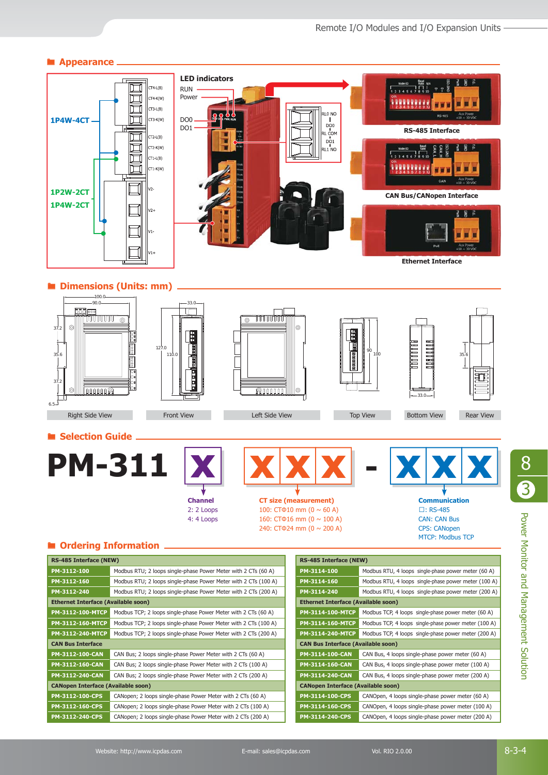

8

3

**CAN Bus Interface**

**CANopen Interface (Available soon)**

**PM-3112-160-MTCP** Modbus TCP; 2 loops single-phase Power Meter with 2 CTs (100 A) **PM-3112-240-MTCP** Modbus TCP; 2 loops single-phase Power Meter with 2 CTs (200 A)

**PM-3112-100-CAN** CAN Bus: 2 loops single-phase Power Meter with 2 CTs (60 A) **PM-3112-160-CAN** CAN Bus: 2 loops single-phase Power Meter with 2 CTs (100 A) **PM-3112-240-CAN** CAN Bus; 2 loops single-phase Power Meter with 2 CTs (200 A)

**PM-3112-100-CPS** CANopen; 2 loops single-phase Power Meter with 2 CTs (60 A) **PM-3112-160-CPS** CANopen; 2 loops single-phase Power Meter with 2 CTs (100 A) **PM-3112-240-CPS** CANopen; 2 loops single-phase Power Meter with 2 CTs (200 A)

**PM-3114-160-MTCP** Modbus TCP, 4 loops single-phase power meter (100 A) **PM-3114-240-MTCP** Modbus TCP, 4 loops single-phase power meter (200 A)

**PM-3114-100-CAN** CAN Bus, 4 loops single-phase power meter (60 A) **PM-3114-160-CAN** CAN Bus, 4 loops single-phase power meter (100 A) **PM-3114-240-CAN** CAN Bus, 4 loops single-phase power meter (200 A)

**PM-3114-100-CPS** CANOpen, 4 loops single-phase power meter (60 A) **PM-3114-160-CPS** CANOpen, 4 loops single-phase power meter (100 A) **PM-3114-240-CPS** CANOpen, 4 loops single-phase power meter (200 A)

**CAN Bus Interface (Available soon)**

**CANopen Interface (Available soon)**